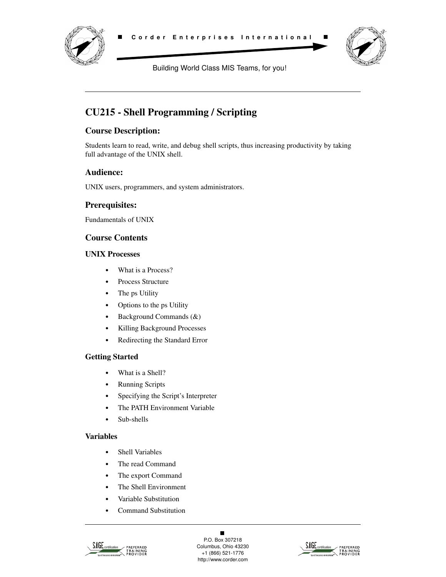



Building World Class MIS Teams, for you!

# **CU215 - Shell Programming / Scripting**

# **Course Description:**

Students learn to read, write, and debug shell scripts, thus increasing productivity by taking full advantage of the UNIX shell.

# **Audience:**

UNIX users, programmers, and system administrators.

## **Prerequisites:**

Fundamentals of UNIX

## **Course Contents**

#### **UNIX Processes**

- **•** What is a Process?
- **•** Process Structure
- **•** The ps Utility
- **•** Options to the ps Utility
- **•** Background Commands (&)
- **•** Killing Background Processes
- **•** Redirecting the Standard Error

## **Getting Started**

- **•** What is a Shell?
- **•** Running Scripts
- **•** Specifying the Script's Interpreter
- **•** The PATH Environment Variable
- **•** Sub-shells

#### **Variables**

- **•** Shell Variables
- **•** The read Command
- **•** The export Command
- **•** The Shell Environment
- **•** Variable Substitution
- **•** Command Substitution



 $\blacksquare$ P.O. Box 307218 Columbus, Ohio 43230 +1 (866) 521-1776 http://www.corder.com

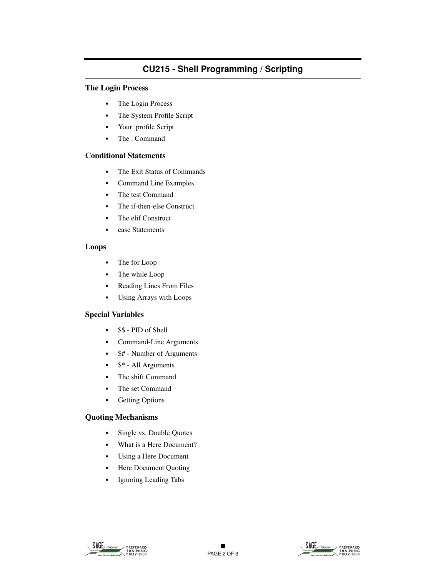# **CU215 - Shell Programming / Scripting**

#### **The Login Process**

- **•** The Login Process
- **•** The System Profile Script
- **•** Your .profile Script
- **•** The . Command

#### **Conditional Statements**

- **•** The Exit Status of Commands
- **•** Command Line Examples
- **•** The test Command
- **•** The if-then-else Construct
- **•** The elif Construct
- **•** case Statements

#### **Loops**

- **•** The for Loop
- **•** The while Loop
- **•** Reading Lines From Files
- **•** Using Arrays with Loops

#### **Special Variables**

- **•** \$\$ PID of Shell
- **•** Command-Line Arguments
- **•** \$# Number of Arguments
- **•** \$\* All Arguments
- **•** The shift Command
- **•** The set Command
- **•** Getting Options

## **Quoting Mechanisms**

- **•** Single vs. Double Quotes
- **•** What is a Here Document?
- **•** Using a Here Document
- **•** Here Document Quoting
- **•** Ignoring Leading Tabs